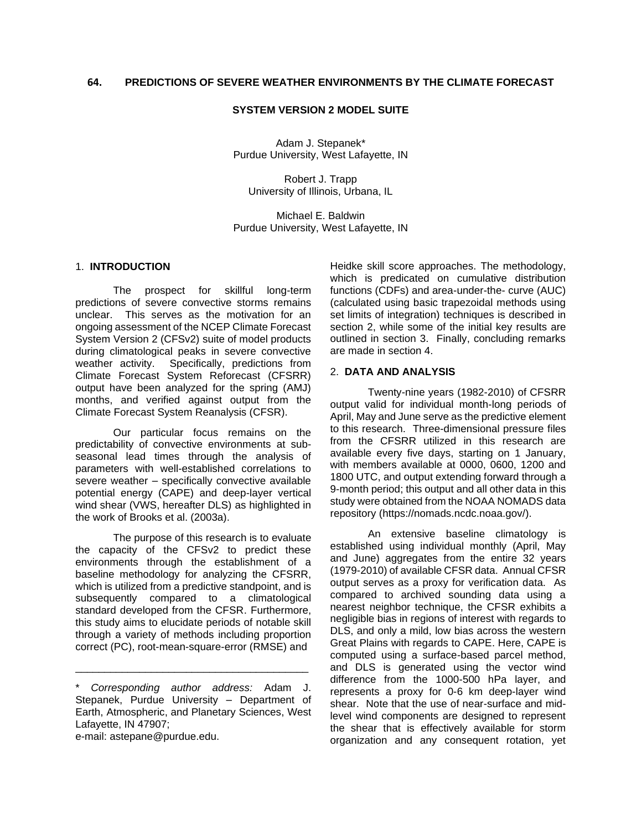# **SYSTEM VERSION 2 MODEL SUITE**

Adam J. Stepanek\* Purdue University, West Lafayette, IN

Robert J. Trapp University of Illinois, Urbana, IL

Michael E. Baldwin Purdue University, West Lafayette, IN

# 1. **INTRODUCTION**

The prospect for skillful long-term predictions of severe convective storms remains unclear. This serves as the motivation for an ongoing assessment of the NCEP Climate Forecast System Version 2 (CFSv2) suite of model products during climatological peaks in severe convective weather activity. Specifically, predictions from Climate Forecast System Reforecast (CFSRR) output have been analyzed for the spring (AMJ) months, and verified against output from the Climate Forecast System Reanalysis (CFSR).

Our particular focus remains on the predictability of convective environments at subseasonal lead times through the analysis of parameters with well-established correlations to severe weather – specifically convective available potential energy (CAPE) and deep-layer vertical wind shear (VWS, hereafter DLS) as highlighted in the work of Brooks et al. (2003a).

The purpose of this research is to evaluate the capacity of the CFSv2 to predict these environments through the establishment of a baseline methodology for analyzing the CFSRR, which is utilized from a predictive standpoint, and is subsequently compared to a climatological standard developed from the CFSR. Furthermore, this study aims to elucidate periods of notable skill through a variety of methods including proportion correct (PC), root-mean-square-error (RMSE) and

\_\_\_\_\_\_\_\_\_\_\_\_\_\_\_\_\_\_\_\_\_\_\_\_\_\_\_\_\_\_\_\_\_\_\_\_\_\_\_\_

e-mail: astepane@purdue.edu.

Heidke skill score approaches. The methodology, which is predicated on cumulative distribution functions (CDFs) and area-under-the- curve (AUC) (calculated using basic trapezoidal methods using set limits of integration) techniques is described in section 2, while some of the initial key results are outlined in section 3. Finally, concluding remarks are made in section 4.

#### 2. **DATA AND ANALYSIS**

Twenty-nine years (1982-2010) of CFSRR output valid for individual month-long periods of April, May and June serve as the predictive element to this research. Three-dimensional pressure files from the CFSRR utilized in this research are available every five days, starting on 1 January, with members available at 0000, 0600, 1200 and 1800 UTC, and output extending forward through a 9-month period; this output and all other data in this study were obtained from the NOAA NOMADS data repository (https://nomads.ncdc.noaa.gov/).

An extensive baseline climatology is established using individual monthly (April, May and June) aggregates from the entire 32 years (1979-2010) of available CFSR data. Annual CFSR output serves as a proxy for verification data. As compared to archived sounding data using a nearest neighbor technique, the CFSR exhibits a negligible bias in regions of interest with regards to DLS, and only a mild, low bias across the western Great Plains with regards to CAPE. Here, CAPE is computed using a surface-based parcel method, and DLS is generated using the vector wind difference from the 1000-500 hPa layer, and represents a proxy for 0-6 km deep-layer wind shear. Note that the use of near-surface and midlevel wind components are designed to represent the shear that is effectively available for storm organization and any consequent rotation, yet

<sup>\*</sup> *Corresponding author address:* Adam J. Stepanek, Purdue University – Department of Earth, Atmospheric, and Planetary Sciences, West Lafayette, IN 47907;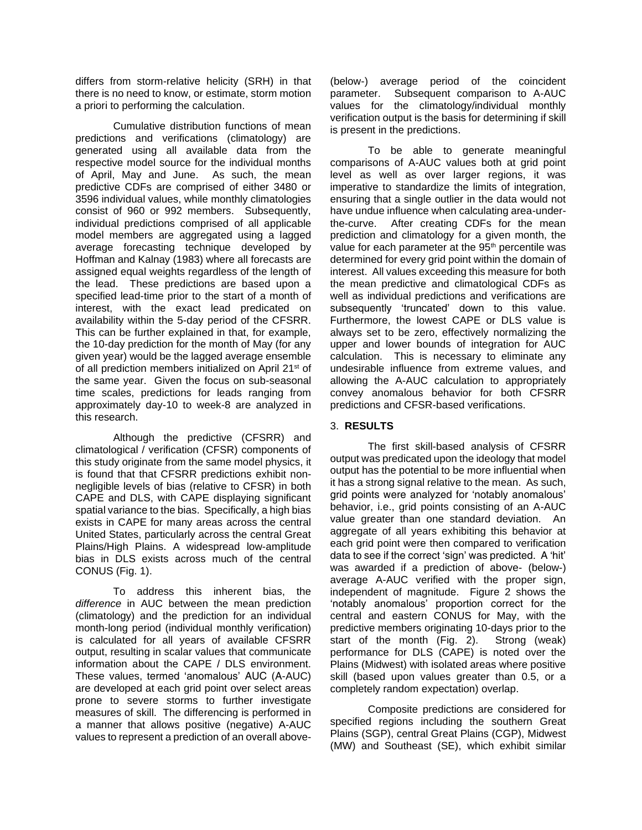differs from storm-relative helicity (SRH) in that there is no need to know, or estimate, storm motion a priori to performing the calculation.

Cumulative distribution functions of mean predictions and verifications (climatology) are generated using all available data from the respective model source for the individual months of April, May and June. As such, the mean predictive CDFs are comprised of either 3480 or 3596 individual values, while monthly climatologies consist of 960 or 992 members. Subsequently, individual predictions comprised of all applicable model members are aggregated using a lagged average forecasting technique developed by Hoffman and Kalnay (1983) where all forecasts are assigned equal weights regardless of the length of the lead. These predictions are based upon a specified lead-time prior to the start of a month of interest, with the exact lead predicated on availability within the 5-day period of the CFSRR. This can be further explained in that, for example, the 10-day prediction for the month of May (for any given year) would be the lagged average ensemble of all prediction members initialized on April 21<sup>st</sup> of the same year. Given the focus on sub-seasonal time scales, predictions for leads ranging from approximately day-10 to week-8 are analyzed in this research.

Although the predictive (CFSRR) and climatological / verification (CFSR) components of this study originate from the same model physics, it is found that that CFSRR predictions exhibit nonnegligible levels of bias (relative to CFSR) in both CAPE and DLS, with CAPE displaying significant spatial variance to the bias. Specifically, a high bias exists in CAPE for many areas across the central United States, particularly across the central Great Plains/High Plains. A widespread low-amplitude bias in DLS exists across much of the central CONUS (Fig. 1).

To address this inherent bias, the *difference* in AUC between the mean prediction (climatology) and the prediction for an individual month-long period (individual monthly verification) is calculated for all years of available CFSRR output, resulting in scalar values that communicate information about the CAPE / DLS environment. These values, termed 'anomalous' AUC (A-AUC) are developed at each grid point over select areas prone to severe storms to further investigate measures of skill. The differencing is performed in a manner that allows positive (negative) A-AUC values to represent a prediction of an overall above(below-) average period of the coincident parameter. Subsequent comparison to A-AUC values for the climatology/individual monthly verification output is the basis for determining if skill is present in the predictions.

To be able to generate meaningful comparisons of A-AUC values both at grid point level as well as over larger regions, it was imperative to standardize the limits of integration, ensuring that a single outlier in the data would not have undue influence when calculating area-underthe-curve. After creating CDFs for the mean prediction and climatology for a given month, the value for each parameter at the 95<sup>th</sup> percentile was determined for every grid point within the domain of interest. All values exceeding this measure for both the mean predictive and climatological CDFs as well as individual predictions and verifications are subsequently 'truncated' down to this value. Furthermore, the lowest CAPE or DLS value is always set to be zero, effectively normalizing the upper and lower bounds of integration for AUC calculation. This is necessary to eliminate any undesirable influence from extreme values, and allowing the A-AUC calculation to appropriately convey anomalous behavior for both CFSRR predictions and CFSR-based verifications.

### 3. **RESULTS**

The first skill-based analysis of CFSRR output was predicated upon the ideology that model output has the potential to be more influential when it has a strong signal relative to the mean. As such, grid points were analyzed for 'notably anomalous' behavior, i.e., grid points consisting of an A-AUC value greater than one standard deviation. An aggregate of all years exhibiting this behavior at each grid point were then compared to verification data to see if the correct 'sign' was predicted. A 'hit' was awarded if a prediction of above- (below-) average A-AUC verified with the proper sign, independent of magnitude. Figure 2 shows the 'notably anomalous' proportion correct for the central and eastern CONUS for May, with the predictive members originating 10-days prior to the start of the month (Fig. 2). Strong (weak) performance for DLS (CAPE) is noted over the Plains (Midwest) with isolated areas where positive skill (based upon values greater than 0.5, or a completely random expectation) overlap.

Composite predictions are considered for specified regions including the southern Great Plains (SGP), central Great Plains (CGP), Midwest (MW) and Southeast (SE), which exhibit similar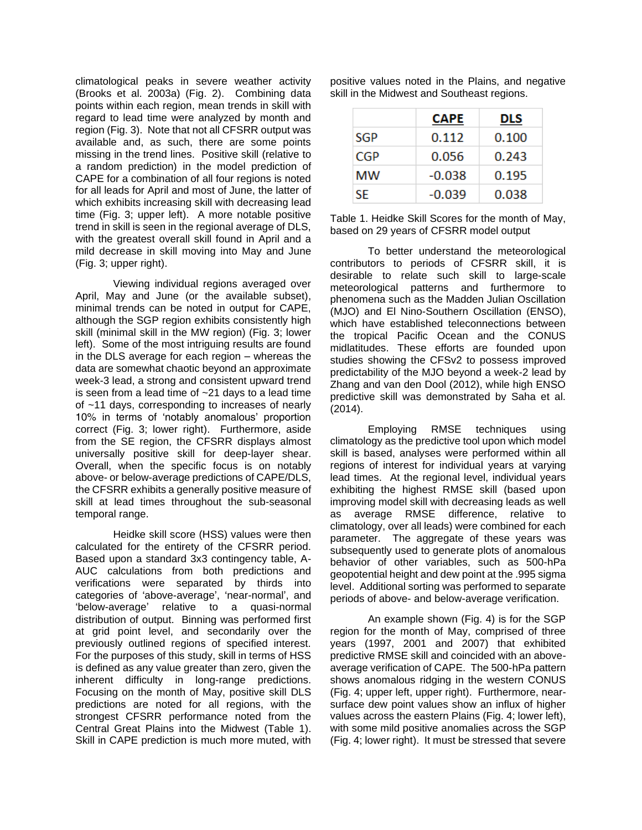climatological peaks in severe weather activity (Brooks et al. 2003a) (Fig. 2). Combining data points within each region, mean trends in skill with regard to lead time were analyzed by month and region (Fig. 3). Note that not all CFSRR output was available and, as such, there are some points missing in the trend lines. Positive skill (relative to a random prediction) in the model prediction of CAPE for a combination of all four regions is noted for all leads for April and most of June, the latter of which exhibits increasing skill with decreasing lead time (Fig. 3; upper left). A more notable positive trend in skill is seen in the regional average of DLS, with the greatest overall skill found in April and a mild decrease in skill moving into May and June (Fig. 3; upper right).

Viewing individual regions averaged over April, May and June (or the available subset), minimal trends can be noted in output for CAPE, although the SGP region exhibits consistently high skill (minimal skill in the MW region) (Fig. 3; lower left). Some of the most intriguing results are found in the DLS average for each region – whereas the data are somewhat chaotic beyond an approximate week-3 lead, a strong and consistent upward trend is seen from a lead time of ~21 days to a lead time of ~11 days, corresponding to increases of nearly 10% in terms of 'notably anomalous' proportion correct (Fig. 3; lower right). Furthermore, aside from the SE region, the CFSRR displays almost universally positive skill for deep-layer shear. Overall, when the specific focus is on notably above- or below-average predictions of CAPE/DLS, the CFSRR exhibits a generally positive measure of skill at lead times throughout the sub-seasonal temporal range.

Heidke skill score (HSS) values were then calculated for the entirety of the CFSRR period. Based upon a standard 3x3 contingency table, A-AUC calculations from both predictions and verifications were separated by thirds into categories of 'above-average', 'near-normal', and 'below-average' relative to a quasi-normal distribution of output. Binning was performed first at grid point level, and secondarily over the previously outlined regions of specified interest. For the purposes of this study, skill in terms of HSS is defined as any value greater than zero, given the inherent difficulty in long-range predictions. Focusing on the month of May, positive skill DLS predictions are noted for all regions, with the strongest CFSRR performance noted from the Central Great Plains into the Midwest (Table 1). Skill in CAPE prediction is much more muted, with

positive values noted in the Plains, and negative skill in the Midwest and Southeast regions.

|            | <b>CAPE</b> | DLS   |
|------------|-------------|-------|
| <b>SGP</b> | 0.112       | 0.100 |
| CGP        | 0.056       | 0.243 |
| мw         | $-0.038$    | 0.195 |
| SE.        | -0.039      | 0.038 |

Table 1. Heidke Skill Scores for the month of May, based on 29 years of CFSRR model output

To better understand the meteorological contributors to periods of CFSRR skill, it is desirable to relate such skill to large-scale meteorological patterns and furthermore to phenomena such as the Madden Julian Oscillation (MJO) and El Nino-Southern Oscillation (ENSO), which have established teleconnections between the tropical Pacific Ocean and the CONUS midlatitudes. These efforts are founded upon studies showing the CFSv2 to possess improved predictability of the MJO beyond a week-2 lead by Zhang and van den Dool (2012), while high ENSO predictive skill was demonstrated by Saha et al. (2014).

Employing RMSE techniques using climatology as the predictive tool upon which model skill is based, analyses were performed within all regions of interest for individual years at varying lead times. At the regional level, individual years exhibiting the highest RMSE skill (based upon improving model skill with decreasing leads as well as average RMSE difference, relative to climatology, over all leads) were combined for each parameter. The aggregate of these years was subsequently used to generate plots of anomalous behavior of other variables, such as 500-hPa geopotential height and dew point at the .995 sigma level. Additional sorting was performed to separate periods of above- and below-average verification.

An example shown (Fig. 4) is for the SGP region for the month of May, comprised of three years (1997, 2001 and 2007) that exhibited predictive RMSE skill and coincided with an aboveaverage verification of CAPE. The 500-hPa pattern shows anomalous ridging in the western CONUS (Fig. 4; upper left, upper right). Furthermore, nearsurface dew point values show an influx of higher values across the eastern Plains (Fig. 4; lower left), with some mild positive anomalies across the SGP (Fig. 4; lower right). It must be stressed that severe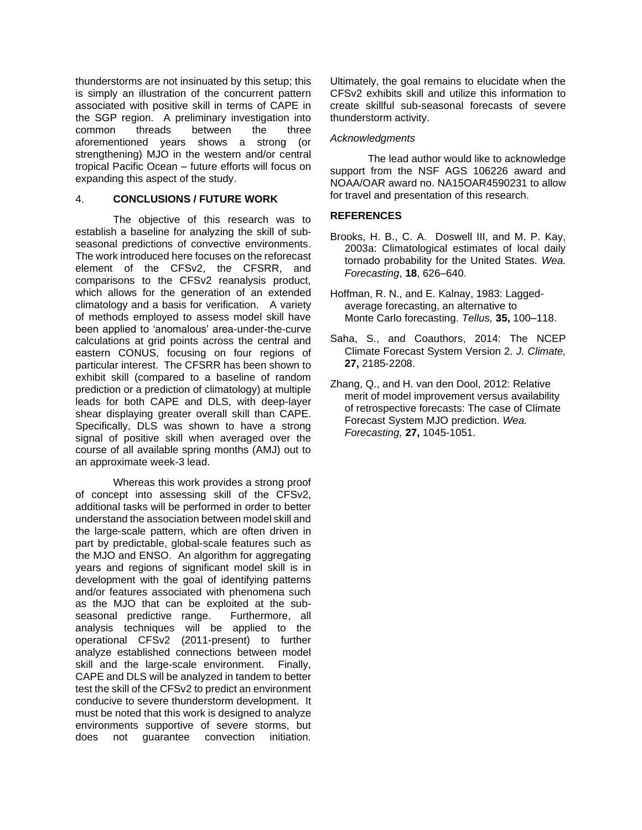thunderstorms are not insinuated by this setup; this is simply an illustration of the concurrent pattern associated with positive skill in terms of CAPE in the SGP region. A preliminary investigation into common threads between the three aforementioned years shows a strong (or strengthening) MJO in the western and/or central tropical Pacific Ocean – future efforts will focus on expanding this aspect of the study.

# 4. **CONCLUSIONS / FUTURE WORK**

The objective of this research was to establish a baseline for analyzing the skill of subseasonal predictions of convective environments. The work introduced here focuses on the reforecast element of the CFSv2, the CFSRR, and comparisons to the CFSv2 reanalysis product, which allows for the generation of an extended climatology and a basis for verification. A variety of methods employed to assess model skill have been applied to 'anomalous' area-under-the-curve calculations at grid points across the central and eastern CONUS, focusing on four regions of particular interest. The CFSRR has been shown to exhibit skill (compared to a baseline of random prediction or a prediction of climatology) at multiple leads for both CAPE and DLS, with deep-layer shear displaying greater overall skill than CAPE. Specifically, DLS was shown to have a strong signal of positive skill when averaged over the course of all available spring months (AMJ) out to an approximate week-3 lead.

Whereas this work provides a strong proof of concept into assessing skill of the CFSv2, additional tasks will be performed in order to better understand the association between model skill and the large-scale pattern, which are often driven in part by predictable, global-scale features such as the MJO and ENSO. An algorithm for aggregating years and regions of significant model skill is in development with the goal of identifying patterns and/or features associated with phenomena such as the MJO that can be exploited at the subseasonal predictive range. Furthermore, all analysis techniques will be applied to the operational CFSv2 (2011-present) to further analyze established connections between model skill and the large-scale environment. Finally, CAPE and DLS will be analyzed in tandem to better test the skill of the CFSv2 to predict an environment conducive to severe thunderstorm development. It must be noted that this work is designed to analyze environments supportive of severe storms, but does not guarantee convection initiation.

Ultimately, the goal remains to elucidate when the CFSv2 exhibits skill and utilize this information to create skillful sub-seasonal forecasts of severe thunderstorm activity.

# *Acknowledgments*

The lead author would like to acknowledge support from the NSF AGS 106226 award and NOAA/OAR award no. NA15OAR4590231 to allow for travel and presentation of this research.

# **REFERENCES**

- Brooks, H. B., C. A. Doswell III, and M. P. Kay, 2003a: Climatological estimates of local daily tornado probability for the United States. *Wea. Forecasting*, **18**, 626–640.
- Hoffman, R. N., and E. Kalnay, 1983: Lagged average forecasting, an alternative to Monte Carlo forecasting. *Tellus,* **35,** 100–118.
- Saha, S., and Coauthors, 2014: The NCEP Climate Forecast System Version 2. *J. Climate,* **27,** 2185-2208.
- Zhang, Q., and H. van den Dool, 2012: Relative merit of model improvement versus availability of retrospective forecasts: The case of Climate Forecast System MJO prediction. *Wea. Forecasting,* **27,** 1045-1051.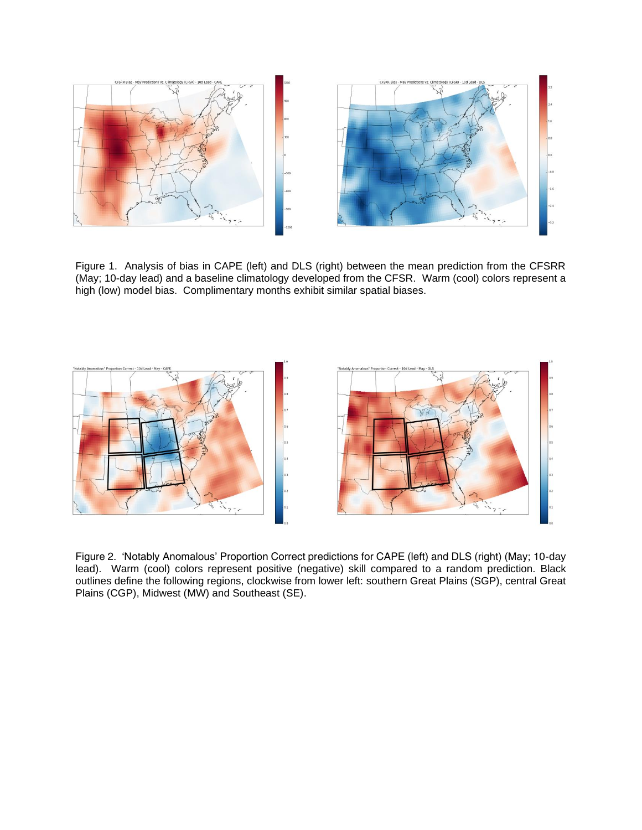

Figure 1. Analysis of bias in CAPE (left) and DLS (right) between the mean prediction from the CFSRR (May; 10-day lead) and a baseline climatology developed from the CFSR. Warm (cool) colors represent a high (low) model bias. Complimentary months exhibit similar spatial biases.



Figure 2. 'Notably Anomalous' Proportion Correct predictions for CAPE (left) and DLS (right) (May; 10-day lead). Warm (cool) colors represent positive (negative) skill compared to a random prediction. Black outlines define the following regions, clockwise from lower left: southern Great Plains (SGP), central Great Plains (CGP), Midwest (MW) and Southeast (SE).